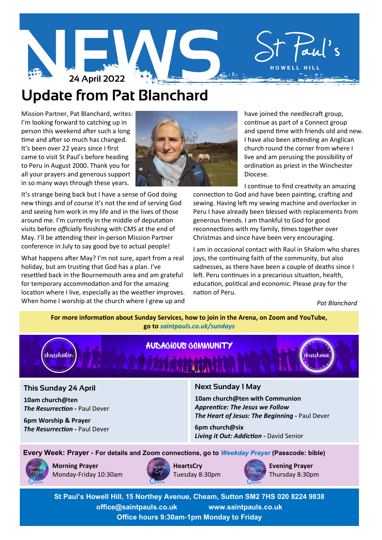

# **Update from Pat Blanchard**

Mission Partner, Pat Blanchard, writes: I'm looking forward to catching up in person this weekend after such a long time and after so much has changed. It's been over 22 years since I first came to visit St Paul's before heading to Peru in August 2000. Thank you for all your prayers and generous support in so many ways through these years.

It's strange being back but I have a sense of God doing new things and of course it's not the end of serving God and seeing him work in my life and in the lives of those around me. I'm currently in the middle of deputation visits before *officially* finishing with CMS at the end of May. I'll be attending their in-person Mission Partner conference in July to say good bye to actual people!

What happens after May? I'm not sure, apart from a real holiday, but am trusting that God has a plan. I've resettled back in the Bournemouth area and am grateful for temporary accommodation and for the amazing location where I live, especially as the weather improves. When home I worship at the church where I grew up and



 have joined the needlecraft group, continue as part of a Connect group and spend time with friends old and new. I have also been attending an Anglican church round the corner from where I live and am perusing the possibility of ordination as priest in the Winchester Diocese.

I continue to find creativity an amazing

connection to God and have been painting, crafting and sewing. Having left my sewing machine and overlocker in Peru I have already been blessed with replacements from generous friends. I am thankful to God for good reconnections with my family, times together over Christmas and since have been very encouraging.

I am in occasional contact with Raul in Shalom who shares joys, the continuing faith of the community, but also sadnesses, as there have been a couple of deaths since I left. Peru continues in a precarious situation, health, education, political and economic. Please pray for the nation of Peru.

*Pat Blanchard*

**For more information about Sunday Services, how to join in the Arena, on Zoom and YouTube, go to** *[saintpauls.co.uk/sundays](https://www.saintpauls.co.uk/Groups/355737/Sundays.aspx)*



## **This Sunday 24 April**

**10am church@ten** *The Resurrection - Paul Dever* 

**6pm Worship & Prayer** *The Resurrection - Paul Dever* 

# **Next Sunday 1 May**

**10am church@ten with Communion** *Apprentice: The Jesus we Follow The Heart of Jesus: The Beginning* **-** Paul Dever

**6pm church@six** *Living it Out: Addiction* **-** David Senior

**Every Week: Prayer - For details and Zoom connections, go to** *[Weekday Prayer](https://www.saintpauls.co.uk/Groups/350973/Weekday_Prayer.aspx)* **(Passcode: bible)**



**Morning Prayer** Monday-Friday 10:30am



**HeartsCry** Tuesday 8:30pm



**Evening Prayer** Thursday 8:30pm

**St Paul's Howell Hill, 15 Northey Avenue, Cheam, Sutton SM2 7HS 020 8224 9838 office@saintpauls.co.uk www.saintpauls.co.uk Office hours 9:30am-1pm Monday to Friday**